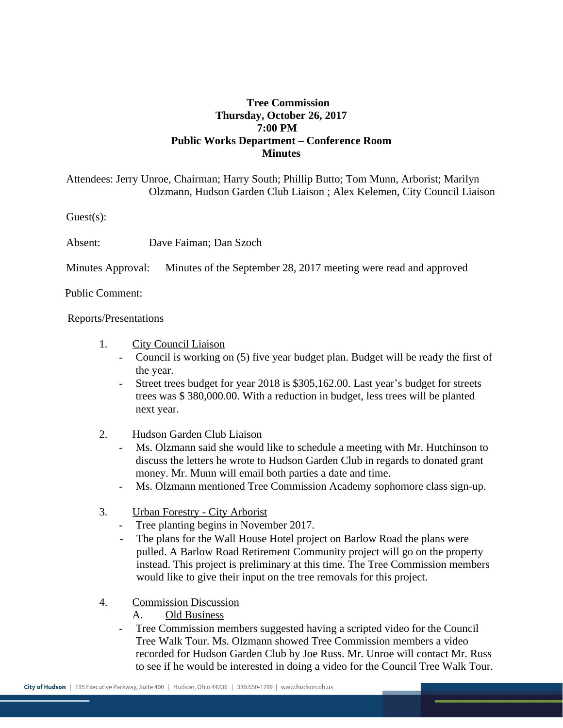## **Tree Commission Thursday, October 26, 2017 7:00 PM Public Works Department – Conference Room Minutes**

Attendees: Jerry Unroe, Chairman; Harry South; Phillip Butto; Tom Munn, Arborist; Marilyn Olzmann, Hudson Garden Club Liaison ; Alex Kelemen, City Council Liaison

Guest(s):

Absent: Dave Faiman; Dan Szoch

Minutes Approval: Minutes of the September 28, 2017 meeting were read and approved

Public Comment:

Reports/Presentations

- 1. City Council Liaison
	- Council is working on (5) five year budget plan. Budget will be ready the first of the year.
	- Street trees budget for year 2018 is \$305,162.00. Last year's budget for streets trees was \$ 380,000.00. With a reduction in budget, less trees will be planted next year.
- 2. Hudson Garden Club Liaison
	- Ms. Olzmann said she would like to schedule a meeting with Mr. Hutchinson to discuss the letters he wrote to Hudson Garden Club in regards to donated grant money. Mr. Munn will email both parties a date and time.
	- Ms. Olzmann mentioned Tree Commission Academy sophomore class sign-up.
- 3. Urban Forestry City Arborist
	- Tree planting begins in November 2017.
	- The plans for the Wall House Hotel project on Barlow Road the plans were pulled. A Barlow Road Retirement Community project will go on the property instead. This project is preliminary at this time. The Tree Commission members would like to give their input on the tree removals for this project.
- 4. Commission Discussion
	- A. Old Business
	- Tree Commission members suggested having a scripted video for the Council Tree Walk Tour. Ms. Olzmann showed Tree Commission members a video recorded for Hudson Garden Club by Joe Russ. Mr. Unroe will contact Mr. Russ to see if he would be interested in doing a video for the Council Tree Walk Tour.